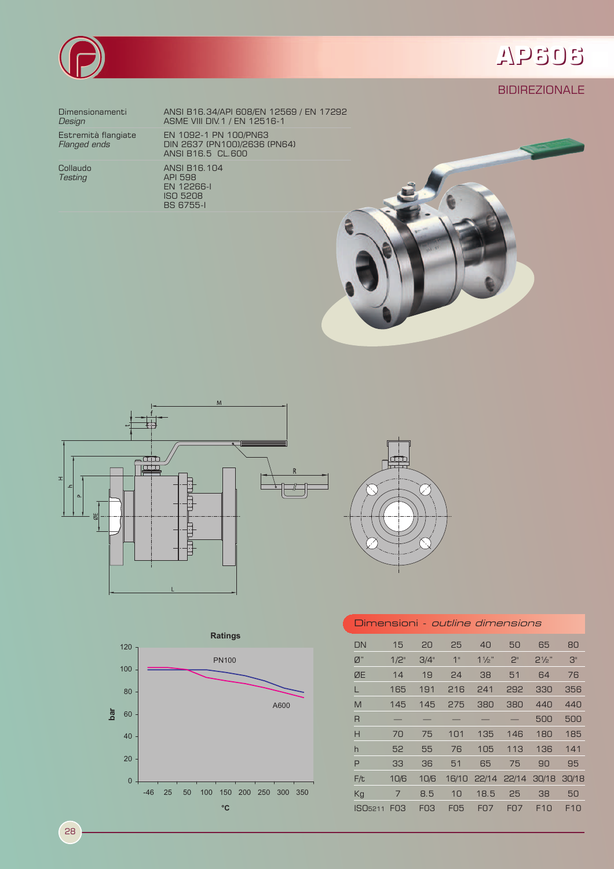

## APSOS

### **BIDIREZIONALE**

Dimensionamenti Design

Estremità flangiate<br>*Flanged ends* 

Collaudo **Testing** 

ANSI B16.34/API 608/EN 12569 / EN 17292<br>ASME VIII DIV.1 / EN 12516-1 EN 1092-1 PN 100/PN63<br>DIN 2637 (PN100)/2636 (PN64)<br>ANSI B16.5 CL.600 ANSI B16.104 ANSI B TO: 1<br>
API 598<br>
EN 12266-1<br>
ISO 5208





**BS 6755-1** 





| Dimensioni <i>- outline dimensions</i> |                 |                 |            |                |                |                  |       |  |  |  |
|----------------------------------------|-----------------|-----------------|------------|----------------|----------------|------------------|-------|--|--|--|
| DN                                     | 15              | 20              | 25         | 40             | 50             | 65               | 80    |  |  |  |
| $\emptyset$ "                          | $1/2$ "         | 3/4"            | 1"         | $1\frac{1}{2}$ | 2 <sup>n</sup> | $2\frac{1}{2}$ " | 3"    |  |  |  |
| ØE                                     | 14              | 19              | 24         | 38             | 51             | 64               | 76    |  |  |  |
|                                        | 165             | 191             | 216        | 241            | 292            | 330              | 356   |  |  |  |
| M                                      | 145             | 145             | 275        | 380            | 380            | 440              | 440   |  |  |  |
| $\overline{R}$                         |                 |                 |            |                |                | 500              | 500   |  |  |  |
| Н                                      | 70              | 75              | 101        | 135            | 146            | 180              | 185   |  |  |  |
| h                                      | 52              | 55              | 76         | 105            | 113            | 136              | 141   |  |  |  |
| P                                      | 33              | 36              | 51         | 65             | 75             | 90               | 95    |  |  |  |
| F/t                                    | 10/6            | 10/6            | 16/10      | 22/14          | 22/14          | 30/18            | 30/18 |  |  |  |
| Kg                                     | 7               | 8.5             | 10         | 18.5           | 25             | 38               | 50    |  |  |  |
| ISO <sub>5211</sub>                    | F <sub>03</sub> | F <sub>03</sub> | <b>FO5</b> | <b>FO7</b>     | <b>FO7</b>     | F10              | F10   |  |  |  |